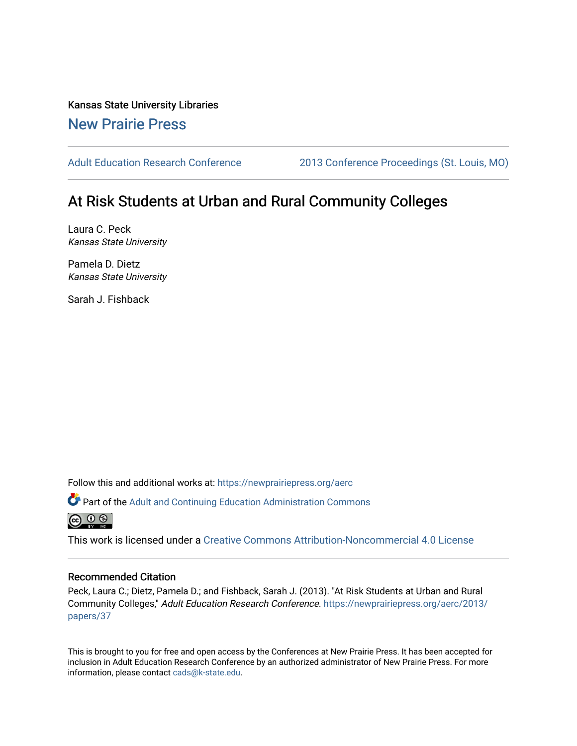Kansas State University Libraries [New Prairie Press](https://newprairiepress.org/) 

[Adult Education Research Conference](https://newprairiepress.org/aerc) [2013 Conference Proceedings \(St. Louis, MO\)](https://newprairiepress.org/aerc/2013) 

# At Risk Students at Urban and Rural Community Colleges

Laura C. Peck Kansas State University

Pamela D. Dietz Kansas State University

Sarah J. Fishback

Follow this and additional works at: [https://newprairiepress.org/aerc](https://newprairiepress.org/aerc?utm_source=newprairiepress.org%2Faerc%2F2013%2Fpapers%2F37&utm_medium=PDF&utm_campaign=PDFCoverPages)

Part of the [Adult and Continuing Education Administration Commons](http://network.bepress.com/hgg/discipline/789?utm_source=newprairiepress.org%2Faerc%2F2013%2Fpapers%2F37&utm_medium=PDF&utm_campaign=PDFCoverPages)



This work is licensed under a [Creative Commons Attribution-Noncommercial 4.0 License](https://creativecommons.org/licenses/by-nc/4.0/)

# Recommended Citation

Peck, Laura C.; Dietz, Pamela D.; and Fishback, Sarah J. (2013). "At Risk Students at Urban and Rural Community Colleges," Adult Education Research Conference. [https://newprairiepress.org/aerc/2013/](https://newprairiepress.org/aerc/2013/papers/37) [papers/37](https://newprairiepress.org/aerc/2013/papers/37) 

This is brought to you for free and open access by the Conferences at New Prairie Press. It has been accepted for inclusion in Adult Education Research Conference by an authorized administrator of New Prairie Press. For more information, please contact [cads@k-state.edu](mailto:cads@k-state.edu).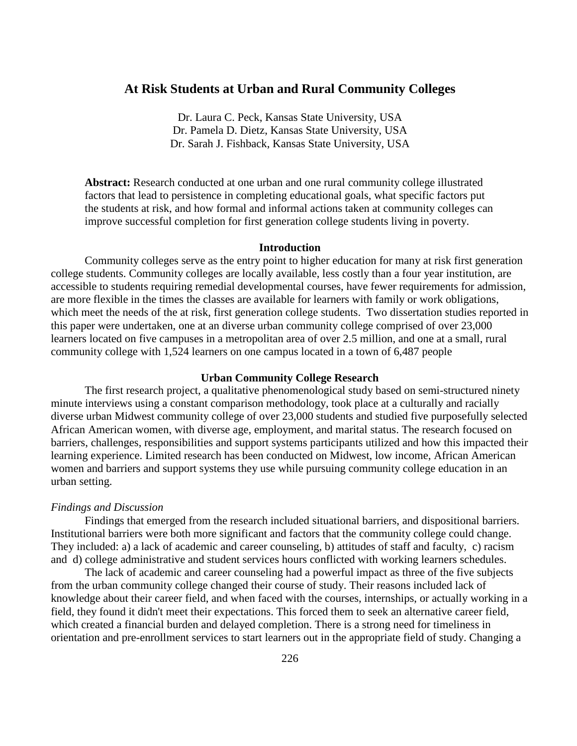# **At Risk Students at Urban and Rural Community Colleges**

Dr. Laura C. Peck, Kansas State University, USA Dr. Pamela D. Dietz, Kansas State University, USA Dr. Sarah J. Fishback, Kansas State University, USA

**Abstract:** Research conducted at one urban and one rural community college illustrated factors that lead to persistence in completing educational goals, what specific factors put the students at risk, and how formal and informal actions taken at community colleges can improve successful completion for first generation college students living in poverty.

#### **Introduction**

Community colleges serve as the entry point to higher education for many at risk first generation college students. Community colleges are locally available, less costly than a four year institution, are accessible to students requiring remedial developmental courses, have fewer requirements for admission, are more flexible in the times the classes are available for learners with family or work obligations, which meet the needs of the at risk, first generation college students. Two dissertation studies reported in this paper were undertaken, one at an diverse urban community college comprised of over 23,000 learners located on five campuses in a metropolitan area of over 2.5 million, and one at a small, rural community college with 1,524 learners on one campus located in a town of 6,487 people

# **Urban Community College Research**

The first research project, a qualitative phenomenological study based on semi-structured ninety minute interviews using a constant comparison methodology, took place at a culturally and racially diverse urban Midwest community college of over 23,000 students and studied five purposefully selected African American women, with diverse age, employment, and marital status. The research focused on barriers, challenges, responsibilities and support systems participants utilized and how this impacted their learning experience. Limited research has been conducted on Midwest, low income, African American women and barriers and support systems they use while pursuing community college education in an urban setting.

#### *Findings and Discussion*

Findings that emerged from the research included situational barriers, and dispositional barriers. Institutional barriers were both more significant and factors that the community college could change. They included: a) a lack of academic and career counseling, b) attitudes of staff and faculty, c) racism and d) college administrative and student services hours conflicted with working learners schedules.

The lack of academic and career counseling had a powerful impact as three of the five subjects from the urban community college changed their course of study. Their reasons included lack of knowledge about their career field, and when faced with the courses, internships, or actually working in a field, they found it didn't meet their expectations. This forced them to seek an alternative career field, which created a financial burden and delayed completion. There is a strong need for timeliness in orientation and pre-enrollment services to start learners out in the appropriate field of study. Changing a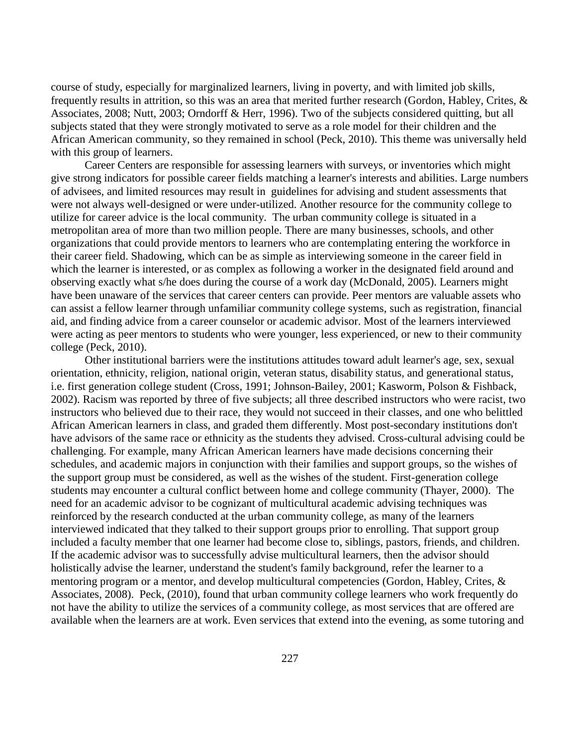course of study, especially for marginalized learners, living in poverty, and with limited job skills, frequently results in attrition, so this was an area that merited further research (Gordon, Habley, Crites, & Associates, 2008; Nutt, 2003; Orndorff & Herr, 1996). Two of the subjects considered quitting, but all subjects stated that they were strongly motivated to serve as a role model for their children and the African American community, so they remained in school (Peck, 2010). This theme was universally held with this group of learners.

Career Centers are responsible for assessing learners with surveys, or inventories which might give strong indicators for possible career fields matching a learner's interests and abilities. Large numbers of advisees, and limited resources may result in guidelines for advising and student assessments that were not always well-designed or were under-utilized. Another resource for the community college to utilize for career advice is the local community. The urban community college is situated in a metropolitan area of more than two million people. There are many businesses, schools, and other organizations that could provide mentors to learners who are contemplating entering the workforce in their career field. Shadowing, which can be as simple as interviewing someone in the career field in which the learner is interested, or as complex as following a worker in the designated field around and observing exactly what s/he does during the course of a work day (McDonald, 2005). Learners might have been unaware of the services that career centers can provide. Peer mentors are valuable assets who can assist a fellow learner through unfamiliar community college systems, such as registration, financial aid, and finding advice from a career counselor or academic advisor. Most of the learners interviewed were acting as peer mentors to students who were younger, less experienced, or new to their community college (Peck, 2010).

Other institutional barriers were the institutions attitudes toward adult learner's age, sex, sexual orientation, ethnicity, religion, national origin, veteran status, disability status, and generational status, i.e. first generation college student (Cross, 1991; Johnson-Bailey, 2001; Kasworm, Polson & Fishback, 2002). Racism was reported by three of five subjects; all three described instructors who were racist, two instructors who believed due to their race, they would not succeed in their classes, and one who belittled African American learners in class, and graded them differently. Most post-secondary institutions don't have advisors of the same race or ethnicity as the students they advised. Cross-cultural advising could be challenging. For example, many African American learners have made decisions concerning their schedules, and academic majors in conjunction with their families and support groups, so the wishes of the support group must be considered, as well as the wishes of the student. First-generation college students may encounter a cultural conflict between home and college community (Thayer, 2000). The need for an academic advisor to be cognizant of multicultural academic advising techniques was reinforced by the research conducted at the urban community college, as many of the learners interviewed indicated that they talked to their support groups prior to enrolling. That support group included a faculty member that one learner had become close to, siblings, pastors, friends, and children. If the academic advisor was to successfully advise multicultural learners, then the advisor should holistically advise the learner, understand the student's family background, refer the learner to a mentoring program or a mentor, and develop multicultural competencies (Gordon, Habley, Crites, & Associates, 2008). Peck, (2010), found that urban community college learners who work frequently do not have the ability to utilize the services of a community college, as most services that are offered are available when the learners are at work. Even services that extend into the evening, as some tutoring and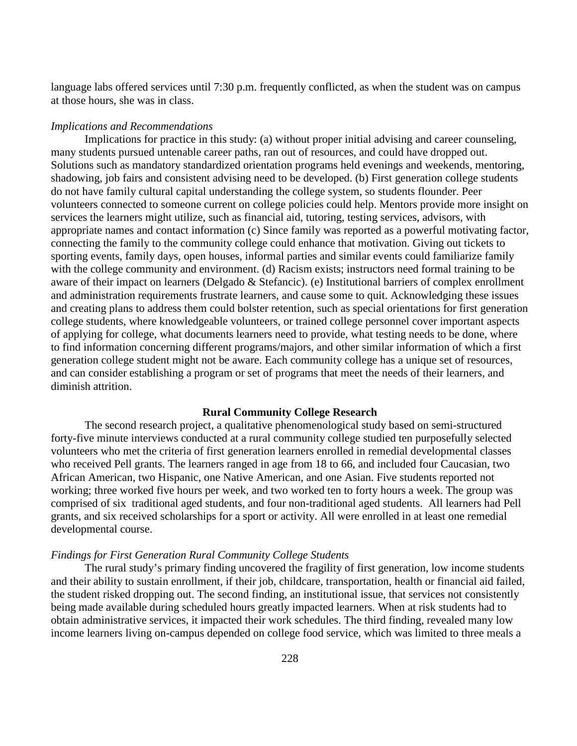language labs offered services until 7:30 p.m. frequently conflicted, as when the student was on campus at those hours, she was in class.

#### *Implications and Recommendations*

Implications for practice in this study: (a) without proper initial advising and career counseling, many students pursued untenable career paths, ran out of resources, and could have dropped out. Solutions such as mandatory standardized orientation programs held evenings and weekends, mentoring, shadowing, job fairs and consistent advising need to be developed. (b) First generation college students do not have family cultural capital understanding the college system, so students flounder. Peer volunteers connected to someone current on college policies could help. Mentors provide more insight on services the learners might utilize, such as financial aid, tutoring, testing services, advisors, with appropriate names and contact information (c) Since family was reported as a powerful motivating factor, connecting the family to the community college could enhance that motivation. Giving out tickets to sporting events, family days, open houses, informal parties and similar events could familiarize family with the college community and environment. (d) Racism exists; instructors need formal training to be aware of their impact on learners (Delgado & Stefancic). (e) Institutional barriers of complex enrollment and administration requirements frustrate learners, and cause some to quit. Acknowledging these issues and creating plans to address them could bolster retention, such as special orientations for first generation college students, where knowledgeable volunteers, or trained college personnel cover important aspects of applying for college, what documents learners need to provide, what testing needs to be done, where to find information concerning different programs/majors, and other similar information of which a first generation college student might not be aware. Each community college has a unique set of resources, and can consider establishing a program or set of programs that meet the needs of their learners, and diminish attrition.

# **Rural Community College Research**

The second research project, a qualitative phenomenological study based on semi-structured forty-five minute interviews conducted at a rural community college studied ten purposefully selected volunteers who met the criteria of first generation learners enrolled in remedial developmental classes who received Pell grants. The learners ranged in age from 18 to 66, and included four Caucasian, two African American, two Hispanic, one Native American, and one Asian. Five students reported not working; three worked five hours per week, and two worked ten to forty hours a week. The group was comprised of six traditional aged students, and four non-traditional aged students. All learners had Pell grants, and six received scholarships for a sport or activity. All were enrolled in at least one remedial developmental course.

#### *Findings for First Generation Rural Community College Students*

The rural study's primary finding uncovered the fragility of first generation, low income students and their ability to sustain enrollment, if their job, childcare, transportation, health or financial aid failed, the student risked dropping out. The second finding, an institutional issue, that services not consistently being made available during scheduled hours greatly impacted learners. When at risk students had to obtain administrative services, it impacted their work schedules. The third finding, revealed many low income learners living on-campus depended on college food service, which was limited to three meals a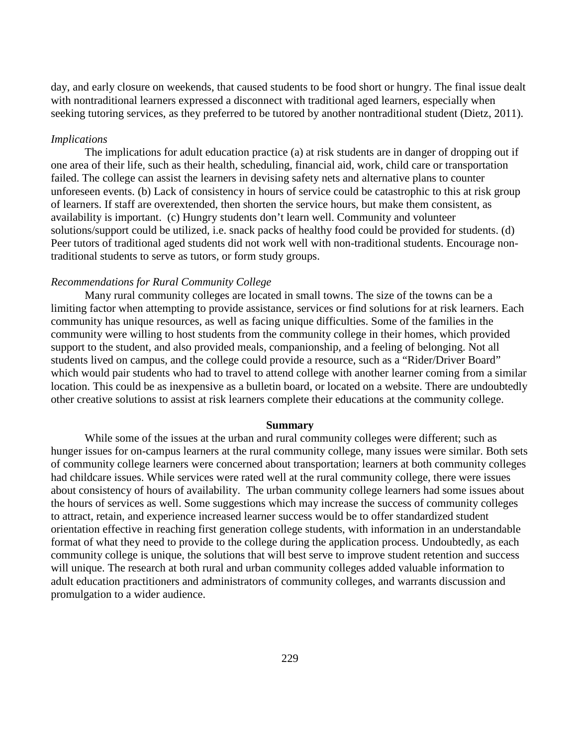day, and early closure on weekends, that caused students to be food short or hungry. The final issue dealt with nontraditional learners expressed a disconnect with traditional aged learners, especially when seeking tutoring services, as they preferred to be tutored by another nontraditional student (Dietz, 2011).

# *Implications*

The implications for adult education practice (a) at risk students are in danger of dropping out if one area of their life, such as their health, scheduling, financial aid, work, child care or transportation failed. The college can assist the learners in devising safety nets and alternative plans to counter unforeseen events. (b) Lack of consistency in hours of service could be catastrophic to this at risk group of learners. If staff are overextended, then shorten the service hours, but make them consistent, as availability is important. (c) Hungry students don't learn well. Community and volunteer solutions/support could be utilized, i.e. snack packs of healthy food could be provided for students. (d) Peer tutors of traditional aged students did not work well with non-traditional students. Encourage nontraditional students to serve as tutors, or form study groups.

#### *Recommendations for Rural Community College*

Many rural community colleges are located in small towns. The size of the towns can be a limiting factor when attempting to provide assistance, services or find solutions for at risk learners. Each community has unique resources, as well as facing unique difficulties. Some of the families in the community were willing to host students from the community college in their homes, which provided support to the student, and also provided meals, companionship, and a feeling of belonging. Not all students lived on campus, and the college could provide a resource, such as a "Rider/Driver Board" which would pair students who had to travel to attend college with another learner coming from a similar location. This could be as inexpensive as a bulletin board, or located on a website. There are undoubtedly other creative solutions to assist at risk learners complete their educations at the community college.

# **Summary**

While some of the issues at the urban and rural community colleges were different; such as hunger issues for on-campus learners at the rural community college, many issues were similar. Both sets of community college learners were concerned about transportation; learners at both community colleges had childcare issues. While services were rated well at the rural community college, there were issues about consistency of hours of availability. The urban community college learners had some issues about the hours of services as well. Some suggestions which may increase the success of community colleges to attract, retain, and experience increased learner success would be to offer standardized student orientation effective in reaching first generation college students, with information in an understandable format of what they need to provide to the college during the application process. Undoubtedly, as each community college is unique, the solutions that will best serve to improve student retention and success will unique. The research at both rural and urban community colleges added valuable information to adult education practitioners and administrators of community colleges, and warrants discussion and promulgation to a wider audience.